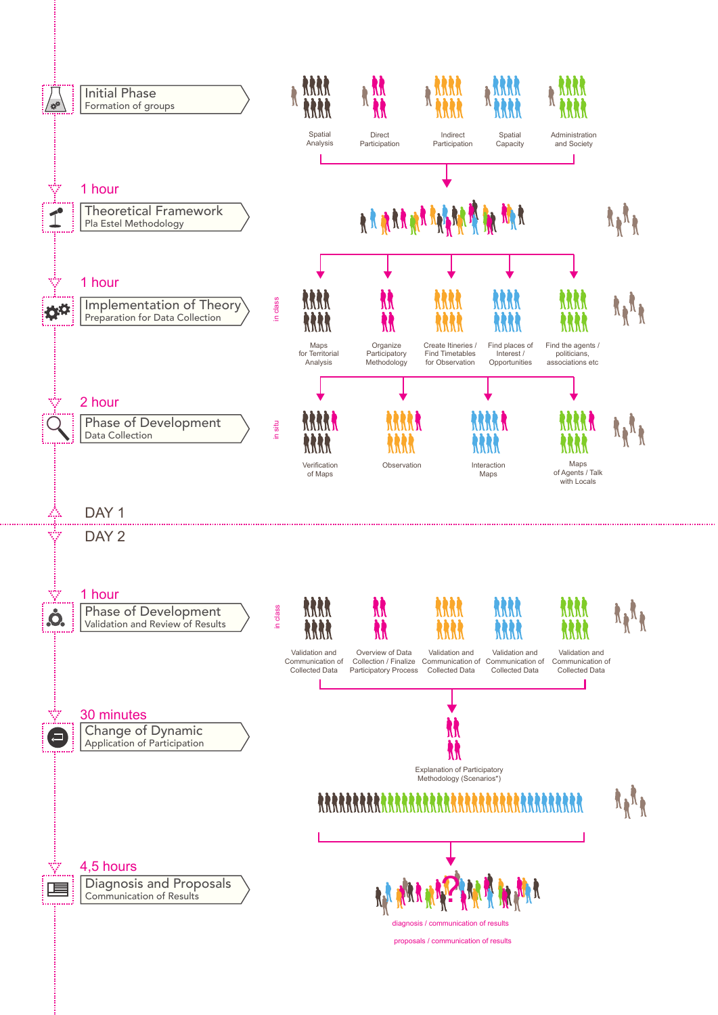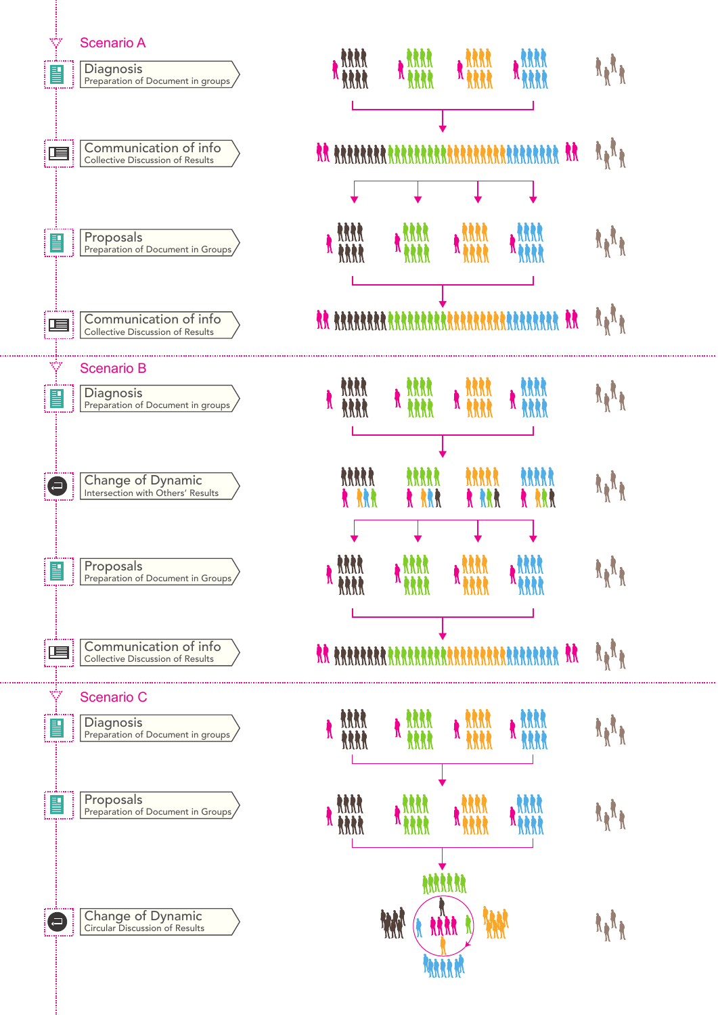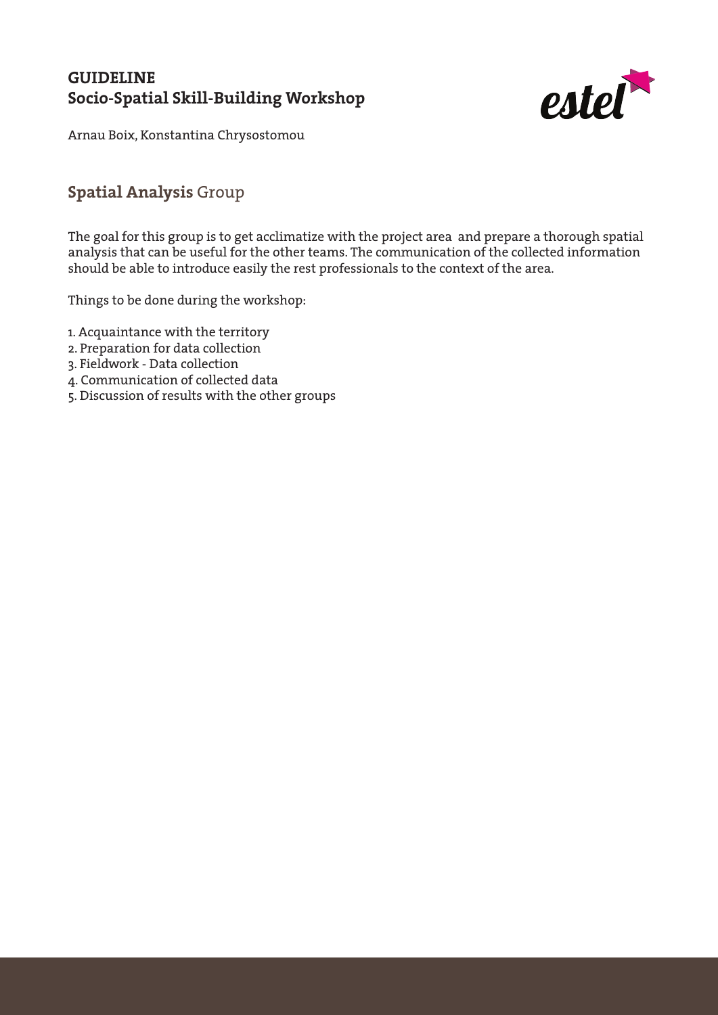

Arnau Boix, Konstantina Chrysostomou

#### **Spatial Analysis** Group

The goal for this group is to get acclimatize with the project area and prepare a thorough spatial analysis that can be useful for the other teams. The communication of the collected information should be able to introduce easily the rest professionals to the context of the area.

- 1. Acquaintance with the territory
- 2. Preparation for data collection
- 3. Fieldwork Data collection
- 4. Communication of collected data
- 5. Discussion of results with the other groups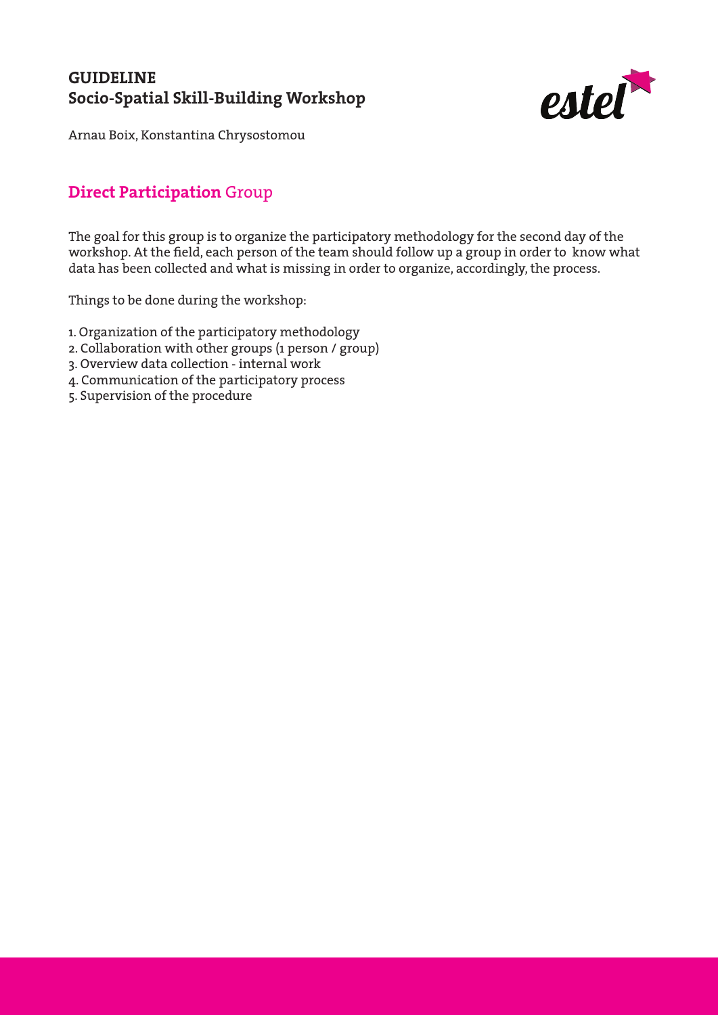

Arnau Boix, Konstantina Chrysostomou

#### **Direct Participation** Group

The goal for this group is to organize the participatory methodology for the second day of the workshop. At the field, each person of the team should follow up a group in order to know what data has been collected and what is missing in order to organize, accordingly, the process.

- 1. Organization of the participatory methodology
- 2. Collaboration with other groups (1 person / group)
- 3. Overview data collection internal work
- 4. Communication of the participatory process
- 5. Supervision of the procedure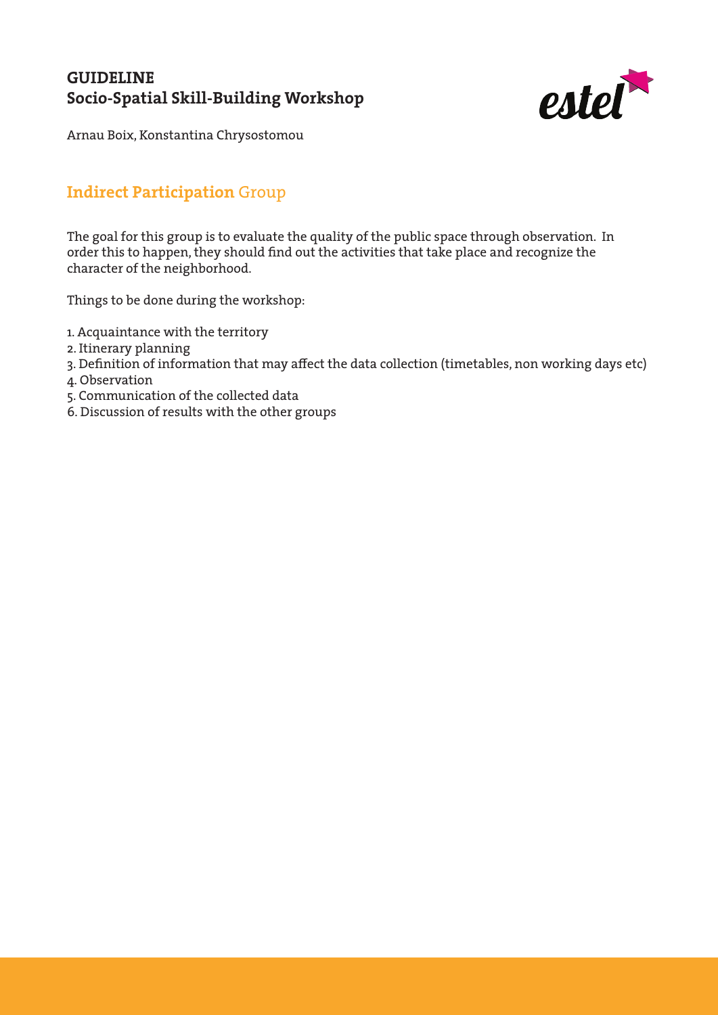

Arnau Boix, Konstantina Chrysostomou

# **Indirect Participation** Group

The goal for this group is to evaluate the quality of the public space through observation. In order this to happen, they should find out the activities that take place and recognize the character of the neighborhood.

- 1. Acquaintance with the territory
- 2. Itinerary planning
- 3. Definition of information that may affect the data collection (timetables, non working days etc)
- 4. Observation
- 5. Communication of the collected data
- 6. Discussion of results with the other groups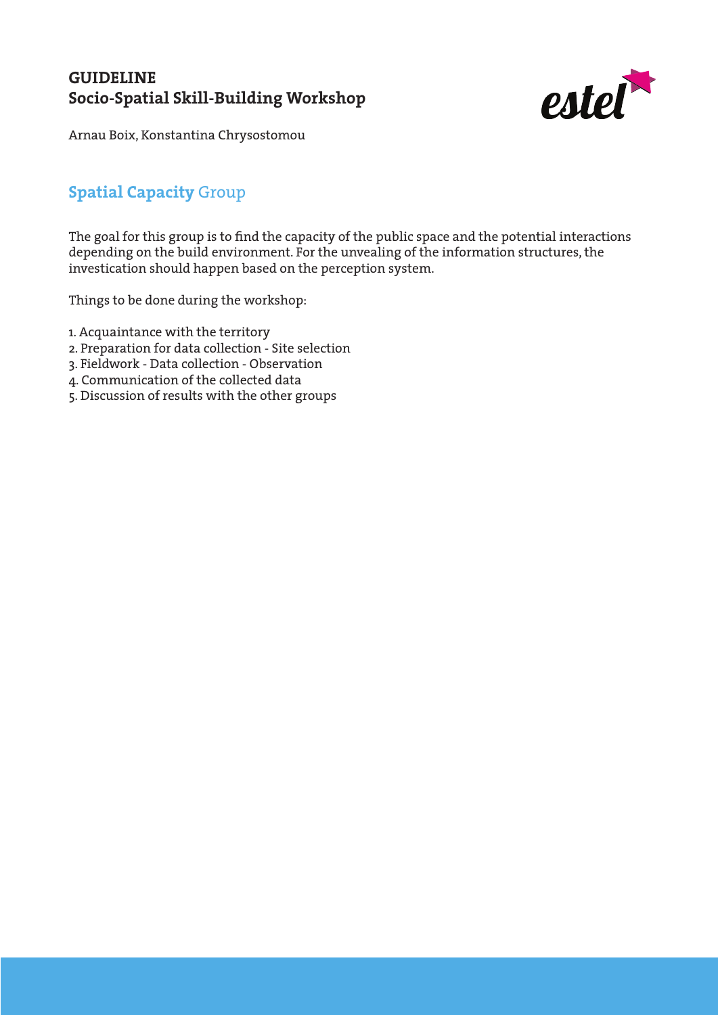

Arnau Boix, Konstantina Chrysostomou

# **Spatial Capacity** Group

The goal for this group is to find the capacity of the public space and the potential interactions depending on the build environment. For the unvealing of the information structures, the investication should happen based on the perception system.

- 1. Acquaintance with the territory
- 2. Preparation for data collection Site selection
- 3. Fieldwork Data collection Observation
- 4. Communication of the collected data
- 5. Discussion of results with the other groups